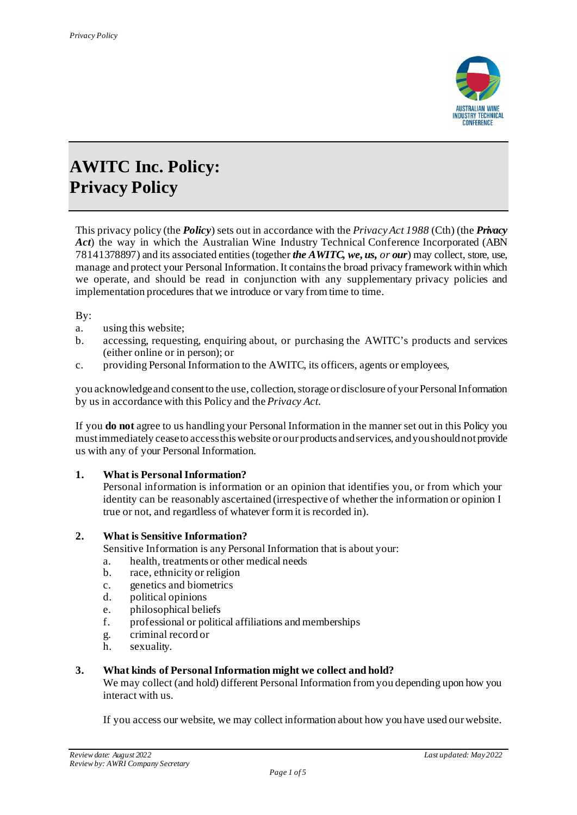

# **AWITC Inc. Policy: Privacy Policy**

This privacy policy (the *Policy*) sets out in accordance with the *Privacy Act 1988* (Cth) (the *Privacy Act*) the way in which the Australian Wine Industry Technical Conference Incorporated (ABN 78141378897) and its associated entities (together *the AWITC, we, us, or our*) may collect, store, use, manage and protect your Personal Information.It contains the broad privacy framework within which we operate, and should be read in conjunction with any supplementary privacy policies and implementation procedures that we introduce or vary from time to time.

By:

- a. using this website;
- b. accessing, requesting, enquiring about, or purchasing the AWITC's products and services (either online or in person); or
- c. providing Personal Information to the AWITC, its officers, agents or employees,

you acknowledge and consent to the use, collection, storage or disclosure of your Personal Information by us in accordance with this Policy and the *Privacy Act*.

If you **do not** agree to us handling your Personal Information in the manner set out in this Policy you must immediately cease to access this website or our products and services, and you should not provide us with any of your Personal Information.

# **1. What is Personal Information?**

Personal information is information or an opinion that identifies you, or from which your identity can be reasonably ascertained (irrespective of whether the information or opinion I true or not, and regardless of whatever form it is recorded in).

#### **2. What is Sensitive Information?**

Sensitive Information is any Personal Information that is about your:

- a. health, treatments or other medical needs
- b. race, ethnicity or religion
- c. genetics and biometrics
- d. political opinions
- e. philosophical beliefs
- f. professional or political affiliations and memberships
- g. criminal record or
- h. sexuality.

#### **3. What kinds of Personal Information might we collect and hold?**

We may collect (and hold) different Personal Information from you depending upon how you interact with us.

If you access our website, we may collect information about how you have used ourwebsite.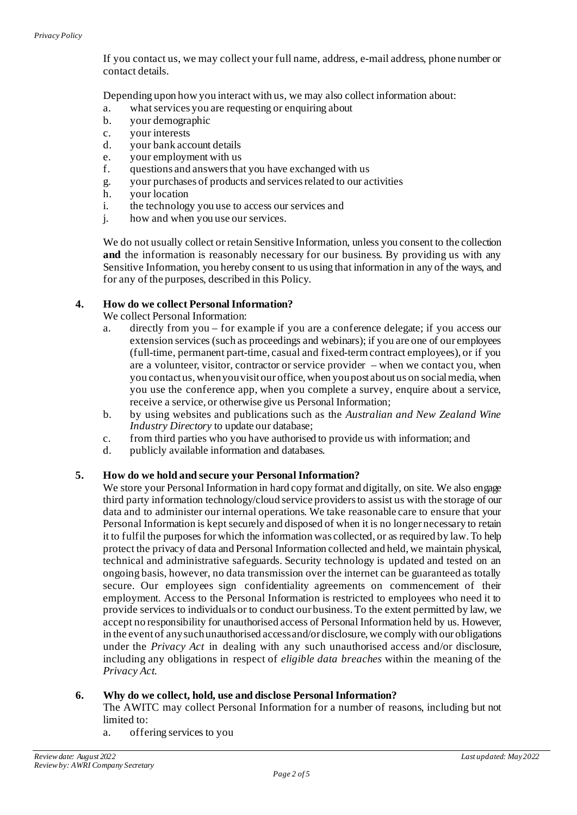If you contact us, we may collect your full name, address, e-mail address, phone number or contact details.

Depending upon how you interact with us, we may also collect information about:

- a. what services you are requesting or enquiring about
- b. your demographic
- c. your interests<br>d. your bank acc
- your bank account details
- e. your employment with us
- f. questions and answers that you have exchanged with us
- g. your purchases of products and services related to our activities
- h. your location
- i. the technology you use to access our services and
- j. how and when you use our services.

We do not usually collect or retain Sensitive Information, unless you consent to the collection **and** the information is reasonably necessary for our business. By providing us with any Sensitive Information, you hereby consent to us using that information in any of the ways, and for any of the purposes, described in this Policy.

#### **4. How do we collect Personal Information?**

We collect Personal Information:

- a. directly from you for example if you are a conference delegate; if you access our extension services (such as proceedings and webinars); if you are one of our employees (full-time, permanent part-time, casual and fixed-term contract employees), or if you are a volunteer, visitor, contractor or service provider – when we contact you, when you contact us, when you visit our office, when you post about us on social media, when you use the conference app, when you complete a survey, enquire about a service, receive a service, or otherwise give us Personal Information;
- b. by using websites and publications such as the *Australian and New Zealand Wine Industry Directory* to update our database;
- c. from third parties who you have authorised to provide us with information; and
- d. publicly available information and databases.

# **5. How do we hold and secure your Personal Information?**

We store your Personal Information in hard copy format and digitally, on site. We also engage third party information technology/cloud service providers to assist us with the storage of our data and to administer our internal operations. We take reasonable care to ensure that your Personal Information is kept securely and disposed of when it is no longer necessary to retain it to fulfil the purposes for which the information was collected, or as required by law. To help protect the privacy of data and Personal Information collected and held, we maintain physical, technical and administrative safeguards. Security technology is updated and tested on an ongoing basis, however, no data transmission over the internet can be guaranteed as totally secure. Our employees sign confidentiality agreements on commencement of their employment. Access to the Personal Information is restricted to employees who need it to provide services to individuals or to conduct our business. To the extent permitted by law, we accept no responsibility for unauthorised access of Personal Information held by us. However, in the event of any such unauthorised access and/or disclosure, we comply with our obligations under the *Privacy Act* in dealing with any such unauthorised access and/or disclosure, including any obligations in respect of *eligible data breaches* within the meaning of the *Privacy Act.*

# **6. Why do we collect, hold, use and disclose Personal Information?**

The AWITC may collect Personal Information for a number of reasons, including but not limited to:

a. offering services to you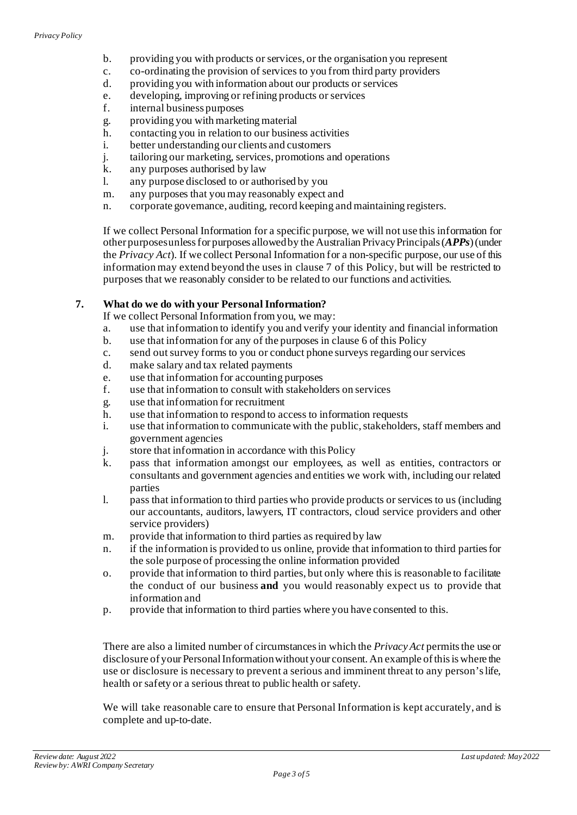- b. providing you with products or services, or the organisation you represent
- c. co-ordinating the provision of services to you from third party providers
- d. providing you with information about our products or services
- e. developing, improving or refining products or services
- f. internal business purposes
- g. providing you with marketing material
- h. contacting you in relation to our business activities<br>i. better understanding our clients and customers
- better understanding our clients and customers
- j. tailoring our marketing, services, promotions and operations
- k. any purposes authorised by law
- l. any purpose disclosed to or authorised by you
- m. any purposes that you may reasonably expect and
- n. corporate governance, auditing, record keeping and maintaining registers.

If we collect Personal Information for a specific purpose, we will not use this information for other purposes unless for purposes allowed by the Australian Privacy Principals(*APPs*)(under the *Privacy Act*). If we collect Personal Information for a non-specific purpose, our use of this information may extend beyond the uses in clause 7 of this Policy, but will be restricted to purposes that we reasonably consider to be related to our functions and activities.

# **7. What do we do with your Personal Information?**

If we collect Personal Information from you, we may:

- a. use that information to identify you and verify your identity and financial information
- b. use that information for any of the purposes in clause 6 of this Policy
- c. send out survey forms to you or conduct phone surveys regarding our services
- d. make salary and tax related payments
- e. use that information for accounting purposes
- f. use that information to consult with stakeholders on services
- g. use that information for recruitment
- h. use that information to respond to access to information requests
- i. use that information to communicate with the public, stakeholders, staff members and government agencies
- j. store that information in accordance with this Policy
- k. pass that information amongst our employees, as well as entities, contractors or consultants and government agencies and entities we work with, including our related parties
- l. pass that information to third parties who provide products or services to us (including our accountants, auditors, lawyers, IT contractors, cloud service providers and other service providers)
- m. provide that information to third parties as required by law
- n. if the information is provided to us online, provide that information to third parties for the sole purpose of processing the online information provided
- o. provide that information to third parties, but only where this is reasonable to facilitate the conduct of our business **and** you would reasonably expect us to provide that information and
- p. provide that information to third parties where you have consented to this.

There are also a limited number of circumstances in which the *Privacy Act* permits the use or disclosure of your Personal Information without your consent. An example of this is where the use or disclosure is necessary to prevent a serious and imminent threat to any person's life, health or safety or a serious threat to public health or safety.

We will take reasonable care to ensure that Personal Information is kept accurately, and is complete and up-to-date.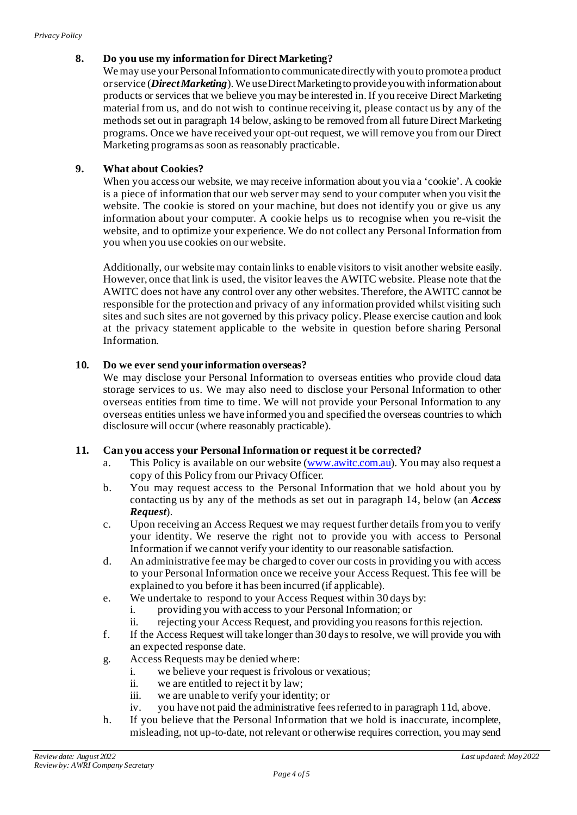# **8. Do you use my information for Direct Marketing?**

We may use your Personal Information to communicate directly with you to promote a product or service (*Direct Marketing*). We use Direct Marketing to provide you with information about products or services that we believe you may be interested in. If you receive Direct Marketing material from us, and do not wish to continue receiving it, please contact us by any of the methods set out in paragraph 14 below, asking to be removed from all future Direct Marketing programs. Once we have received your opt-out request, we will remove you from our Direct Marketing programs as soon as reasonably practicable.

# **9. What about Cookies?**

When you access our website, we may receive information about you via a 'cookie'. A cookie is a piece of information that our web server may send to your computer when you visit the website. The cookie is stored on your machine, but does not identify you or give us any information about your computer. A cookie helps us to recognise when you re-visit the website, and to optimize your experience. We do not collect any Personal Information from you when you use cookies on ourwebsite.

Additionally, our website may contain links to enable visitors to visit another website easily. However, once that link is used, the visitor leaves the AWITC website. Please note that the AWITC does not have any control over any other websites. Therefore, the AWITC cannot be responsible for the protection and privacy of any information provided whilst visiting such sites and such sites are not governed by this privacy policy. Please exercise caution and look at the privacy statement applicable to the website in question before sharing Personal Information.

#### **10. Do we ever send your information overseas?**

We may disclose your Personal Information to overseas entities who provide cloud data storage services to us. We may also need to disclose your Personal Information to other overseas entities from time to time. We will not provide your Personal Information to any overseas entities unless we have informed you and specified the overseas countries to which disclosure will occur (where reasonably practicable).

#### **11. Can you access your Personal Information or request it be corrected?**

- a. This Policy is available on our website [\(www.awitc.com.au\)](http://www.awitc.com.au/). You may also request a copy of this Policy from our Privacy Officer.
- b. You may request access to the Personal Information that we hold about you by contacting us by any of the methods as set out in paragraph 14, below (an *Access Request*).
- c. Upon receiving an Access Request we may request further details from you to verify your identity. We reserve the right not to provide you with access to Personal Information if we cannot verify your identity to our reasonable satisfaction.
- d. An administrative fee may be charged to cover our costs in providing you with access to your Personal Information once we receive your Access Request. This fee will be explained to you before it has been incurred (if applicable).
- e. We undertake to respond to your Access Request within 30 days by:
	- i. providing you with access to your Personal Information; or
	- ii. rejecting your Access Request, and providing you reasons for this rejection.
- f. If the Access Request will take longer than 30 days to resolve, we will provide you with an expected response date.
- g. Access Requests may be denied where:
	- i. we believe your request is frivolous or vexatious;
	- ii. we are entitled to reject it by law;
	- iii. we are unable to verify your identity; or
	- iv. you have not paid the administrative fees referred to in paragraph 11d, above.
- h. If you believe that the Personal Information that we hold is inaccurate, incomplete, misleading, not up-to-date, not relevant or otherwise requires correction, you may send